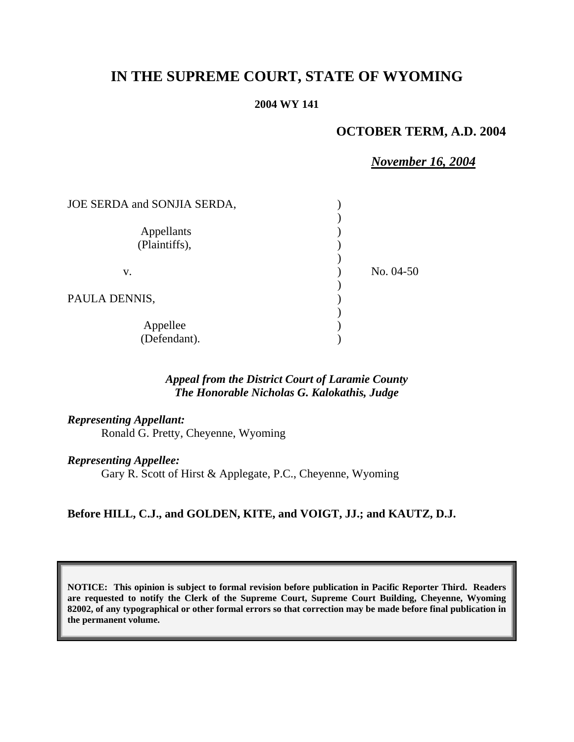# **IN THE SUPREME COURT, STATE OF WYOMING**

#### **2004 WY 141**

# **OCTOBER TERM, A.D. 2004**

# *November 16, 2004*

| JOE SERDA and SONJIA SERDA, |             |
|-----------------------------|-------------|
| Appellants<br>(Plaintiffs), |             |
| V.                          | No. $04-50$ |
| PAULA DENNIS,               |             |
| Appellee<br>(Defendant).    |             |

## *Appeal from the District Court of Laramie County The Honorable Nicholas G. Kalokathis, Judge*

#### *Representing Appellant:*

Ronald G. Pretty, Cheyenne, Wyoming

#### *Representing Appellee:*

Gary R. Scott of Hirst & Applegate, P.C., Cheyenne, Wyoming

#### **Before HILL, C.J., and GOLDEN, KITE, and VOIGT, JJ.; and KAUTZ, D.J.**

**NOTICE: This opinion is subject to formal revision before publication in Pacific Reporter Third. Readers are requested to notify the Clerk of the Supreme Court, Supreme Court Building, Cheyenne, Wyoming 82002, of any typographical or other formal errors so that correction may be made before final publication in the permanent volume.**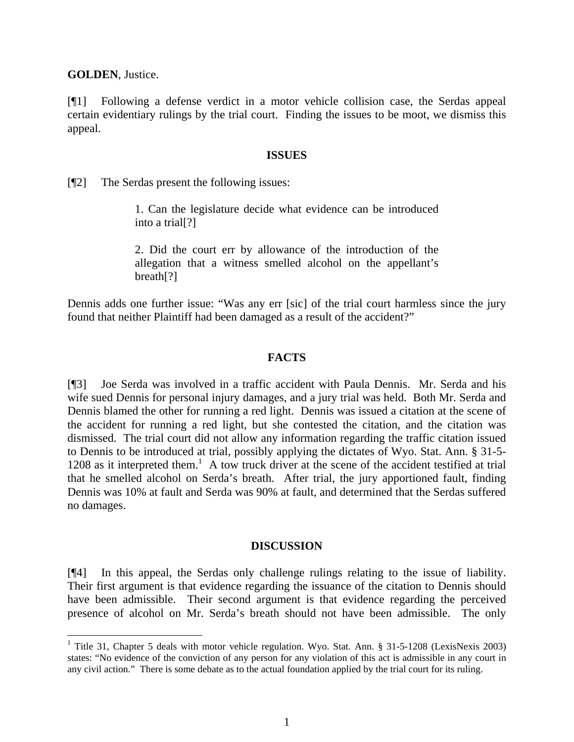**GOLDEN**, Justice.

[¶1] Following a defense verdict in a motor vehicle collision case, the Serdas appeal certain evidentiary rulings by the trial court. Finding the issues to be moot, we dismiss this appeal.

#### **ISSUES**

[¶2] The Serdas present the following issues:

1. Can the legislature decide what evidence can be introduced into a trial[?]

2. Did the court err by allowance of the introduction of the allegation that a witness smelled alcohol on the appellant's breath[?]

Dennis adds one further issue: "Was any err [sic] of the trial court harmless since the jury found that neither Plaintiff had been damaged as a result of the accident?"

### **FACTS**

[¶3] Joe Serda was involved in a traffic accident with Paula Dennis. Mr. Serda and his wife sued Dennis for personal injury damages, and a jury trial was held. Both Mr. Serda and Dennis blamed the other for running a red light. Dennis was issued a citation at the scene of the accident for running a red light, but she contested the citation, and the citation was dismissed. The trial court did not allow any information regarding the traffic citation issued to Dennis to be introduced at trial, possibly applying the dictates of Wyo. Stat. Ann. § 31-5- 1208 as it interpreted them.<sup>1</sup> A tow truck driver at the scene of the accident testified at trial that he smelled alcohol on Serda's breath. After trial, the jury apportioned fault, finding Dennis was 10% at fault and Serda was 90% at fault, and determined that the Serdas suffered no damages.

#### **DISCUSSION**

[¶4] In this appeal, the Serdas only challenge rulings relating to the issue of liability. Their first argument is that evidence regarding the issuance of the citation to Dennis should have been admissible. Their second argument is that evidence regarding the perceived presence of alcohol on Mr. Serda's breath should not have been admissible. The only

<sup>&</sup>lt;sup>1</sup> Title 31, Chapter 5 deals with motor vehicle regulation. Wyo. Stat. Ann. § 31-5-1208 (LexisNexis 2003) states: "No evidence of the conviction of any person for any violation of this act is admissible in any court in any civil action." There is some debate as to the actual foundation applied by the trial court for its ruling.